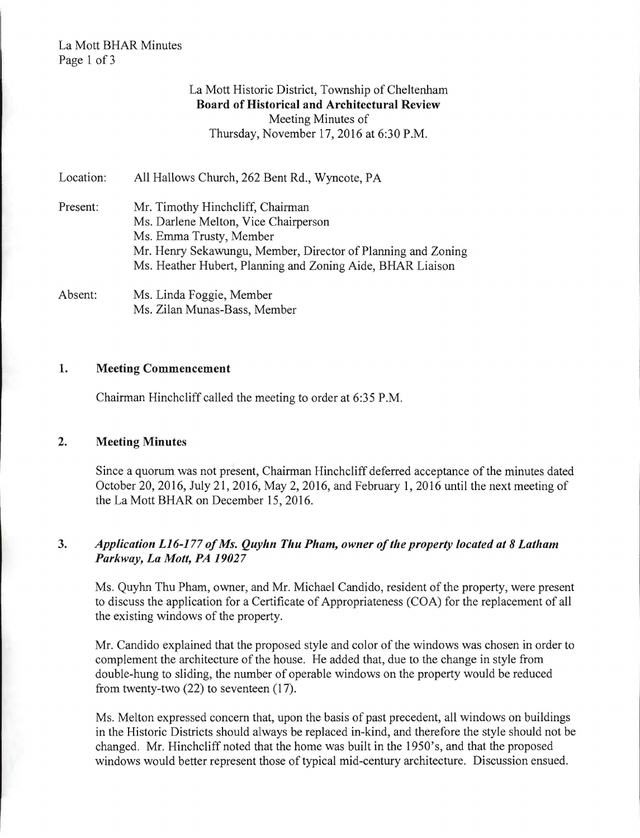#### La Mott BHAR Minutes Page 1 of 3

## La Mott Historic District, Township of Cheltenham Board of Historical and Architectural Review Meeting Minutes of Thursday, November 17,2016 at 6:30 P.M.

| Location: | All Hallows Church, 262 Bent Rd., Wyncote, PA                                                                                                                                                                                     |
|-----------|-----------------------------------------------------------------------------------------------------------------------------------------------------------------------------------------------------------------------------------|
| Present:  | Mr. Timothy Hinchcliff, Chairman<br>Ms. Darlene Melton, Vice Chairperson<br>Ms. Emma Trusty, Member<br>Mr. Henry Sekawungu, Member, Director of Planning and Zoning<br>Ms. Heather Hubert, Planning and Zoning Aide, BHAR Liaison |

Absent: Ms. Linda Foggie, Member Ms. Zilan Munas-Bass, Member

#### 1. Meeting Commencement

Chairman Hinchcliff called the meeting to order at 6:35 P.M.

#### 2. Meeting Minutes

Since a quorum was not present, Chairman Hinchcliff deferred acceptance of the minutes dated October 20, 2016, July 21, 2016, May 2, 2016, and February 1, 2016 until the next meeting of the La Mott BHAR on December 15,2016.

## *3. Application L16-177 ofMs. Quyhn Thu Pham, owner ofthe property located at* 8 *Latham Parkway, La Mott, PA 19027*

Ms. Quyhn Thu Pham, owner, and Mr. Michael Candido, resident of the property, were present to discuss the application for a Certificate of Appropriateness (COA) for the replacement of all the existing windows of the property.

Mr. Candido explained that the proposed style and color of the windows was chosen in order to complement the architecture of the house. He added that, due to the change in style from double-hung to sliding, the number of operable windows on the property would be reduced from twenty-two (22) to seventeen (17).

Ms. Melton expressed concern that, upon the basis of past precedent, all windows on buildings in the Historic Districts should always be replaced in-kind, and therefore the style should not be changed. Mr. Hinchcliff noted that the home was built in the 1950's, and that the proposed windows would better represent those of typical mid-century architecture. Discussion ensued.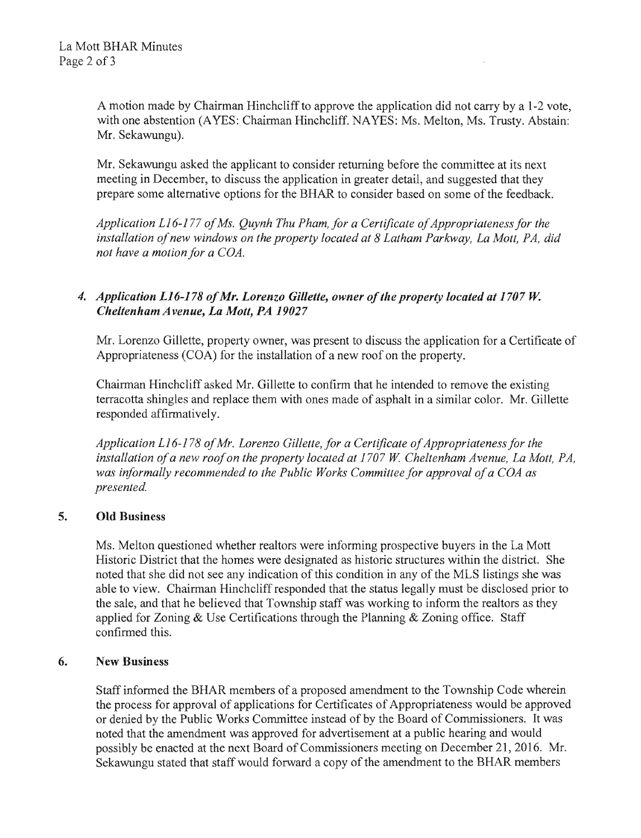A motion made by Chairman Hinchcliff to approve the application did not carry by a 1-2 vote. with one abstention (AYES: Chairman Hinchcliff. NAYES: Ms. Melton, Ms. Trusty. Abstain: Mr. Sekawungu).

Mr. Sekawungu asked the applicant to consider returning before the committee at its next meeting in December, to discuss the application in greater detail, and suggested that they prepare some alternative options for the BHAR to consider based on some of the feedback.

Application L16-177 of Ms. Quynh Thu Pham, for a Certificate of Appropriateness for the installation of new windows on the property located at 8 Latham Parkway, La Mott, PA, did *not have a motion for a* 

# *4. Application L16-178 ofMr. Lorenzo Gillette, owner ofthe property located at 1707* W. **Cheltenham Avenue, La Mott, PA 19027**

Mr. Lorenzo Gillette, property owner, was present to discuss the application for a Certificate of Appropriateness (CGA) for installation of a new roof on the property.

Chairman Hinchcliff asked Mr. Gillette to confirm that he intended to remove the existing terracotta shingles and replace them with ones made of asphalt in a similar color. Mr. Gillette responded affirmatively.

Application L16-178 of Mr. Lorenzo Gillette, for a Certificate of Appropriateness for the installation of a new roof on the property located at 1707 W. Cheltenham Avenue, La Mott, PA, was informally recommended to the Public Works Committee for approval of a COA as presented.

## 5. Old Business

Ms. Melton questioned whether realtors were informing prospective buyers in the La Mott Historic District that the homes were designated as historic structures within the district. She noted that she did not see any indication of this condition in any of the MLS listings she was able to view. Chairman Hinchcliff responded that the status legally must be disclosed prior to the sale, and that he believed that Township staff was working to inform the realtors as they applied for Zoning & Use Certifications through the Planning & Zoning office. Staff confirmed this.

## 6. New Business

Staff informed the BHAR members of a proposed amendment to the Township Code wherein the process for approval of applications for Certificates of Appropriateness would be approved or denied by the Public Works Committee instead of by the Board of Commissioners. It was noted that the amendment was approved for advertisement at a public hearing and would possibly be enacted at the next Board of Commissioners meeting on December 21, 2016. Mr. Sekawungu stated that staff would forward a copy of the amendment to the BHAR members